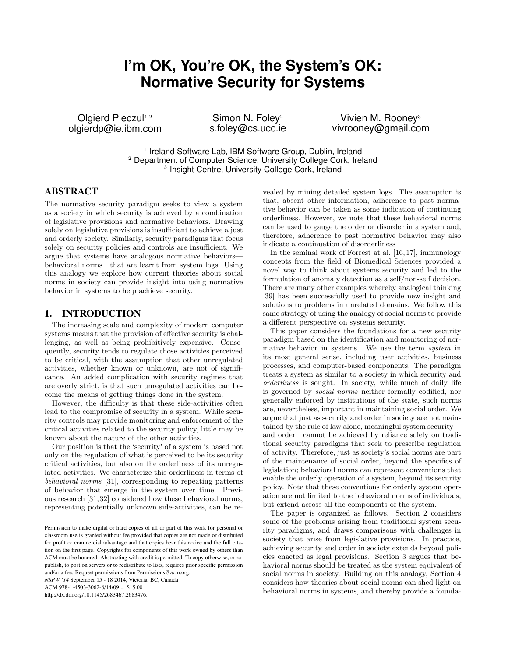# **I'm OK, You're OK, the System's OK: Normative Security for Systems**

Olgierd Pieczul<sup>1,2</sup> olgierdp@ie.ibm.com

Simon N. Foley<sup>2</sup> s.foley@cs.ucc.ie

Vivien M. Rooney<sup>3</sup> vivrooney@gmail.com

<sup>1</sup> Ireland Software Lab, IBM Software Group, Dublin, Ireland <sup>2</sup> Department of Computer Science, University College Cork, Ireland <sup>3</sup> Insight Centre, University College Cork, Ireland

# ABSTRACT

The normative security paradigm seeks to view a system as a society in which security is achieved by a combination of legislative provisions and normative behaviors. Drawing solely on legislative provisions is insufficient to achieve a just and orderly society. Similarly, security paradigms that focus solely on security policies and controls are insufficient. We argue that systems have analogous normative behaviors behavioral norms—that are learnt from system logs. Using this analogy we explore how current theories about social norms in society can provide insight into using normative behavior in systems to help achieve security.

# 1. INTRODUCTION

The increasing scale and complexity of modern computer systems means that the provision of effective security is challenging, as well as being prohibitively expensive. Consequently, security tends to regulate those activities perceived to be critical, with the assumption that other unregulated activities, whether known or unknown, are not of significance. An added complication with security regimes that are overly strict, is that such unregulated activities can become the means of getting things done in the system.

However, the difficulty is that these side-activities often lead to the compromise of security in a system. While security controls may provide monitoring and enforcement of the critical activities related to the security policy, little may be known about the nature of the other activities.

Our position is that the 'security' of a system is based not only on the regulation of what is perceived to be its security critical activities, but also on the orderliness of its unregulated activities. We characterize this orderliness in terms of behavioral norms [31], corresponding to repeating patterns of behavior that emerge in the system over time. Previous research [31,32] considered how these behavioral norms, representing potentially unknown side-activities, can be re-

*NSPW '14* September 15 - 18 2014, Victoria, BC, Canada

ACM 978-1-4503-3062-6/14/09 ... \$15.00

http://dx.doi.org/10.1145/2683467.2683476.

vealed by mining detailed system logs. The assumption is that, absent other information, adherence to past normative behavior can be taken as some indication of continuing orderliness. However, we note that these behavioral norms can be used to gauge the order or disorder in a system and, therefore, adherence to past normative behavior may also indicate a continuation of disorderliness

In the seminal work of Forrest at al. [16, 17], immunology concepts from the field of Biomedical Sciences provided a novel way to think about systems security and led to the formulation of anomaly detection as a self/non-self decision. There are many other examples whereby analogical thinking [39] has been successfully used to provide new insight and solutions to problems in unrelated domains. We follow this same strategy of using the analogy of social norms to provide a different perspective on systems security.

This paper considers the foundations for a new security paradigm based on the identification and monitoring of normative behavior in systems. We use the term system in its most general sense, including user activities, business processes, and computer-based components. The paradigm treats a system as similar to a society in which security and orderliness is sought. In society, while much of daily life is governed by social norms neither formally codified, nor generally enforced by institutions of the state, such norms are, nevertheless, important in maintaining social order. We argue that just as security and order in society are not maintained by the rule of law alone, meaningful system security and order—cannot be achieved by reliance solely on traditional security paradigms that seek to prescribe regulation of activity. Therefore, just as society's social norms are part of the maintenance of social order, beyond the specifics of legislation; behavioral norms can represent conventions that enable the orderly operation of a system, beyond its security policy. Note that these conventions for orderly system operation are not limited to the behavioral norms of individuals, but extend across all the components of the system.

The paper is organized as follows. Section 2 considers some of the problems arising from traditional system security paradigms, and draws comparisons with challenges in society that arise from legislative provisions. In practice, achieving security and order in society extends beyond policies enacted as legal provisions. Section 3 argues that behavioral norms should be treated as the system equivalent of social norms in society. Building on this analogy, Section 4 considers how theories about social norms can shed light on behavioral norms in systems, and thereby provide a founda-

Permission to make digital or hard copies of all or part of this work for personal or classroom use is granted without fee provided that copies are not made or distributed for profit or commercial advantage and that copies bear this notice and the full citation on the first page. Copyrights for components of this work owned by others than ACM must be honored. Abstracting with credit is permitted. To copy otherwise, or republish, to post on servers or to redistribute to lists, requires prior specific permission and/or a fee. Request permissions from Permissions@acm.org.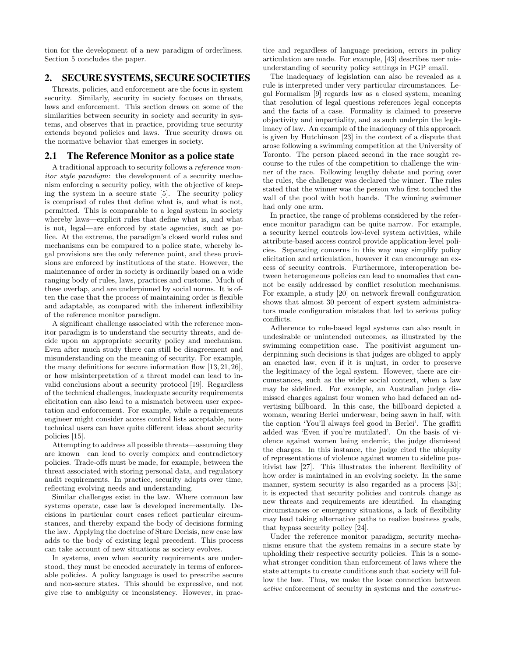tion for the development of a new paradigm of orderliness. Section 5 concludes the paper.

# 2. SECURE SYSTEMS, SECURE SOCIETIES

Threats, policies, and enforcement are the focus in system security. Similarly, security in society focuses on threats, laws and enforcement. This section draws on some of the similarities between security in society and security in systems, and observes that in practice, providing true security extends beyond policies and laws. True security draws on the normative behavior that emerges in society.

# 2.1 The Reference Monitor as a police state

A traditional approach to security follows a reference monitor style paradigm: the development of a security mechanism enforcing a security policy, with the objective of keeping the system in a secure state [5]. The security policy is comprised of rules that define what is, and what is not, permitted. This is comparable to a legal system in society whereby laws—explicit rules that define what is, and what is not, legal—are enforced by state agencies, such as police. At the extreme, the paradigm's closed world rules and mechanisms can be compared to a police state, whereby legal provisions are the only reference point, and these provisions are enforced by institutions of the state. However, the maintenance of order in society is ordinarily based on a wide ranging body of rules, laws, practices and customs. Much of these overlap, and are underpinned by social norms. It is often the case that the process of maintaining order is flexible and adaptable, as compared with the inherent inflexibility of the reference monitor paradigm.

A significant challenge associated with the reference monitor paradigm is to understand the security threats, and decide upon an appropriate security policy and mechanism. Even after much study there can still be disagreement and misunderstanding on the meaning of security. For example, the many definitions for secure information flow [13, 21, 26], or how misinterpretation of a threat model can lead to invalid conclusions about a security protocol [19]. Regardless of the technical challenges, inadequate security requirements elicitation can also lead to a mismatch between user expectation and enforcement. For example, while a requirements engineer might consider access control lists acceptable, nontechnical users can have quite different ideas about security policies [15].

Attempting to address all possible threats—assuming they are known—can lead to overly complex and contradictory policies. Trade-offs must be made, for example, between the threat associated with storing personal data, and regulatory audit requirements. In practice, security adapts over time, reflecting evolving needs and understanding.

Similar challenges exist in the law. Where common law systems operate, case law is developed incrementally. Decisions in particular court cases reflect particular circumstances, and thereby expand the body of decisions forming the law. Applying the doctrine of Stare Decisis, new case law adds to the body of existing legal precedent. This process can take account of new situations as society evolves.

In systems, even when security requirements are understood, they must be encoded accurately in terms of enforceable policies. A policy language is used to prescribe secure and non-secure states. This should be expressive, and not give rise to ambiguity or inconsistency. However, in practice and regardless of language precision, errors in policy articulation are made. For example, [43] describes user misunderstanding of security policy settings in PGP email.

The inadequacy of legislation can also be revealed as a rule is interpreted under very particular circumstances. Legal Formalism [9] regards law as a closed system, meaning that resolution of legal questions references legal concepts and the facts of a case. Formality is claimed to preserve objectivity and impartiality, and as such underpin the legitimacy of law. An example of the inadequacy of this approach is given by Hutchinson [23] in the context of a dispute that arose following a swimming competition at the University of Toronto. The person placed second in the race sought recourse to the rules of the competition to challenge the winner of the race. Following lengthy debate and poring over the rules, the challenger was declared the winner. The rules stated that the winner was the person who first touched the wall of the pool with both hands. The winning swimmer had only one arm.

In practice, the range of problems considered by the reference monitor paradigm can be quite narrow. For example, a security kernel controls low-level system activities, while attribute-based access control provide application-level policies. Separating concerns in this way may simplify policy elicitation and articulation, however it can encourage an excess of security controls. Furthermore, interoperation between heterogeneous policies can lead to anomalies that cannot be easily addressed by conflict resolution mechanisms. For example, a study [20] on network firewall configuration shows that almost 30 percent of expert system administrators made configuration mistakes that led to serious policy conflicts.

Adherence to rule-based legal systems can also result in undesirable or unintended outcomes, as illustrated by the swimming competition case. The positivist argument underpinning such decisions is that judges are obliged to apply an enacted law, even if it is unjust, in order to preserve the legitimacy of the legal system. However, there are circumstances, such as the wider social context, when a law may be sidelined. For example, an Australian judge dismissed charges against four women who had defaced an advertising billboard. In this case, the billboard depicted a woman, wearing Berlei underwear, being sawn in half, with the caption 'You'll always feel good in Berlei'. The graffiti added was 'Even if you're mutilated'. On the basis of violence against women being endemic, the judge dismissed the charges. In this instance, the judge cited the ubiquity of representations of violence against women to sideline positivist law [27]. This illustrates the inherent flexibility of how order is maintained in an evolving society. In the same manner, system security is also regarded as a process [35]; it is expected that security policies and controls change as new threats and requirements are identified. In changing circumstances or emergency situations, a lack of flexibility may lead taking alternative paths to realize business goals, that bypass security policy [24].

Under the reference monitor paradigm, security mechanisms ensure that the system remains in a secure state by upholding their respective security policies. This is a somewhat stronger condition than enforcement of laws where the state attempts to create conditions such that society will follow the law. Thus, we make the loose connection between active enforcement of security in systems and the construc-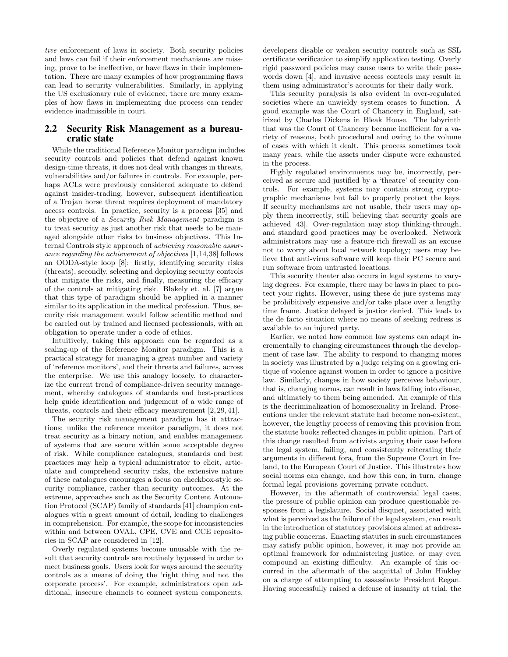tive enforcement of laws in society. Both security policies and laws can fail if their enforcement mechanisms are missing, prove to be ineffective, or have flaws in their implementation. There are many examples of how programming flaws can lead to security vulnerabilities. Similarly, in applying the US exclusionary rule of evidence, there are many examples of how flaws in implementing due process can render evidence inadmissible in court.

# 2.2 Security Risk Management as a bureaucratic state

While the traditional Reference Monitor paradigm includes security controls and policies that defend against known design-time threats, it does not deal with changes in threats, vulnerabilities and/or failures in controls. For example, perhaps ACLs were previously considered adequate to defend against insider-trading, however, subsequent identification of a Trojan horse threat requires deployment of mandatory access controls. In practice, security is a process [35] and the objective of a Security Risk Management paradigm is to treat security as just another risk that needs to be managed alongside other risks to business objectives. This Internal Controls style approach of achieving reasonable assurance regarding the achievement of objectives [1,14,38] follows an OODA-style loop [8]: firstly, identifying security risks (threats), secondly, selecting and deploying security controls that mitigate the risks, and finally, measuring the efficacy of the controls at mitigating risk. Blakely et. al. [7] argue that this type of paradigm should be applied in a manner similar to its application in the medical profession. Thus, security risk management would follow scientific method and be carried out by trained and licensed professionals, with an obligation to operate under a code of ethics.

Intuitively, taking this approach can be regarded as a scaling-up of the Reference Monitor paradigm. This is a practical strategy for managing a great number and variety of 'reference monitors', and their threats and failures, across the enterprise. We use this analogy loosely, to characterize the current trend of compliance-driven security management, whereby catalogues of standards and best-practices help guide identification and judgement of a wide range of threats, controls and their efficacy measurement [2, 29, 41].

The security risk management paradigm has it attractions; unlike the reference monitor paradigm, it does not treat security as a binary notion, and enables management of systems that are secure within some acceptable degree of risk. While compliance catalogues, standards and best practices may help a typical administrator to elicit, articulate and comprehend security risks, the extensive nature of these catalogues encourages a focus on checkbox-style security compliance, rather than security outcomes. At the extreme, approaches such as the Security Content Automation Protocol (SCAP) family of standards [41] champion catalogues with a great amount of detail, leading to challenges in comprehension. For example, the scope for inconsistencies within and between OVAL, CPE, CVE and CCE repositories in SCAP are considered in [12].

Overly regulated systems become unusable with the result that security controls are routinely bypassed in order to meet business goals. Users look for ways around the security controls as a means of doing the 'right thing and not the corporate process'. For example, administrators open additional, insecure channels to connect system components, developers disable or weaken security controls such as SSL certificate verification to simplify application testing. Overly rigid password policies may cause users to write their passwords down [4], and invasive access controls may result in them using administrator's accounts for their daily work.

This security paralysis is also evident in over-regulated societies where an unwieldy system ceases to function. A good example was the Court of Chancery in England, satirized by Charles Dickens in Bleak House. The labyrinth that was the Court of Chancery became inefficient for a variety of reasons, both procedural and owing to the volume of cases with which it dealt. This process sometimes took many years, while the assets under dispute were exhausted in the process.

Highly regulated environments may be, incorrectly, perceived as secure and justified by a 'theatre' of security controls. For example, systems may contain strong cryptographic mechanisms but fail to properly protect the keys. If security mechanisms are not usable, their users may apply them incorrectly, still believing that security goals are achieved [43]. Over-regulation may stop thinking-through, and standard good practices may be overlooked. Network administrators may use a feature-rich firewall as an excuse not to worry about local network topology; users may believe that anti-virus software will keep their PC secure and run software from untrusted locations.

This security theater also occurs in legal systems to varying degrees. For example, there may be laws in place to protect your rights. However, using these de jure systems may be prohibitively expensive and/or take place over a lengthy time frame. Justice delayed is justice denied. This leads to the de facto situation where no means of seeking redress is available to an injured party.

Earlier, we noted how common law systems can adapt incrementally to changing circumstances through the development of case law. The ability to respond to changing mores in society was illustrated by a judge relying on a growing critique of violence against women in order to ignore a positive law. Similarly, changes in how society perceives behaviour, that is, changing norms, can result in laws falling into disuse, and ultimately to them being amended. An example of this is the decriminalization of homosexuality in Ireland. Prosecutions under the relevant statute had become non-existent, however, the lengthy process of removing this provision from the statute books reflected changes in public opinion. Part of this change resulted from activists arguing their case before the legal system, failing, and consistently reiterating their arguments in different fora, from the Supreme Court in Ireland, to the European Court of Justice. This illustrates how social norms can change, and how this can, in turn, change formal legal provisions governing private conduct.

However, in the aftermath of controversial legal cases, the pressure of public opinion can produce questionable responses from a legislature. Social disquiet, associated with what is perceived as the failure of the legal system, can result in the introduction of statutory provisions aimed at addressing public concerns. Enacting statutes in such circumstances may satisfy public opinion, however, it may not provide an optimal framework for administering justice, or may even compound an existing difficulty. An example of this occurred in the aftermath of the acquittal of John Hinkley on a charge of attempting to assassinate President Regan. Having successfully raised a defense of insanity at trial, the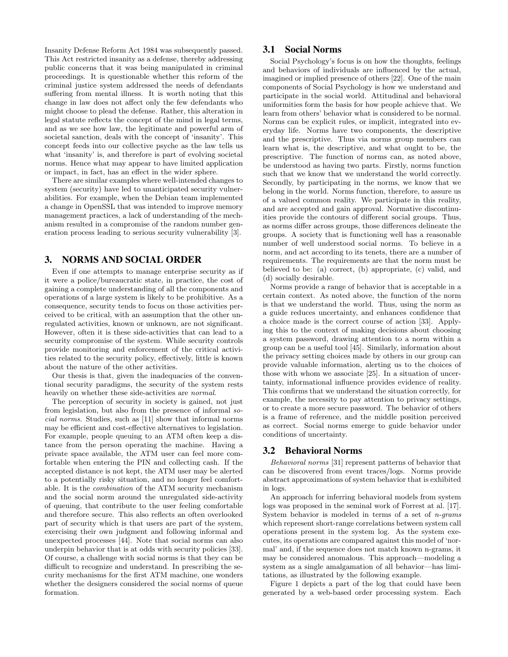Insanity Defense Reform Act 1984 was subsequently passed. This Act restricted insanity as a defense, thereby addressing public concerns that it was being manipulated in criminal proceedings. It is questionable whether this reform of the criminal justice system addressed the needs of defendants suffering from mental illness. It is worth noting that this change in law does not affect only the few defendants who might choose to plead the defense. Rather, this alteration in legal statute reflects the concept of the mind in legal terms, and as we see how law, the legitimate and powerful arm of societal sanction, deals with the concept of 'insanity'. This concept feeds into our collective psyche as the law tells us what 'insanity' is, and therefore is part of evolving societal norms. Hence what may appear to have limited application or impact, in fact, has an effect in the wider sphere.

There are similar examples where well-intended changes to system (security) have led to unanticipated security vulnerabilities. For example, when the Debian team implemented a change in OpenSSL that was intended to improve memory management practices, a lack of understanding of the mechanism resulted in a compromise of the random number generation process leading to serious security vulnerability [3].

# 3. NORMS AND SOCIAL ORDER

Even if one attempts to manage enterprise security as if it were a police/bureaucratic state, in practice, the cost of gaining a complete understanding of all the components and operations of a large system is likely to be prohibitive. As a consequence, security tends to focus on those activities perceived to be critical, with an assumption that the other unregulated activities, known or unknown, are not significant. However, often it is these side-activities that can lead to a security compromise of the system. While security controls provide monitoring and enforcement of the critical activities related to the security policy, effectively, little is known about the nature of the other activities.

Our thesis is that, given the inadequacies of the conventional security paradigms, the security of the system rests heavily on whether these side-activities are normal.

The perception of security in society is gained, not just from legislation, but also from the presence of informal social norms. Studies, such as [11] show that informal norms may be efficient and cost-effective alternatives to legislation. For example, people queuing to an ATM often keep a distance from the person operating the machine. Having a private space available, the ATM user can feel more comfortable when entering the PIN and collecting cash. If the accepted distance is not kept, the ATM user may be alerted to a potentially risky situation, and no longer feel comfortable. It is the combination of the ATM security mechanism and the social norm around the unregulated side-activity of queuing, that contribute to the user feeling comfortable and therefore secure. This also reflects an often overlooked part of security which is that users are part of the system, exercising their own judgment and following informal and unexpected processes [44]. Note that social norms can also underpin behavior that is at odds with security policies [33]. Of course, a challenge with social norms is that they can be difficult to recognize and understand. In prescribing the security mechanisms for the first ATM machine, one wonders whether the designers considered the social norms of queue formation.

# 3.1 Social Norms

Social Psychology's focus is on how the thoughts, feelings and behaviors of individuals are influenced by the actual, imagined or implied presence of others [22]. One of the main components of Social Psychology is how we understand and participate in the social world. Attitudinal and behavioral uniformities form the basis for how people achieve that. We learn from others' behavior what is considered to be normal. Norms can be explicit rules, or implicit, integrated into everyday life. Norms have two components, the descriptive and the prescriptive. Thus via norms group members can learn what is, the descriptive, and what ought to be, the prescriptive. The function of norms can, as noted above, be understood as having two parts. Firstly, norms function such that we know that we understand the world correctly. Secondly, by participating in the norms, we know that we belong in the world. Norms function, therefore, to assure us of a valued common reality. We participate in this reality, and are accepted and gain approval. Normative discontinuities provide the contours of different social groups. Thus, as norms differ across groups, those differences delineate the groups. A society that is functioning well has a reasonable number of well understood social norms. To believe in a norm, and act according to its tenets, there are a number of requirements. The requirements are that the norm must be believed to be: (a) correct, (b) appropriate, (c) valid, and (d) socially desirable.

Norms provide a range of behavior that is acceptable in a certain context. As noted above, the function of the norm is that we understand the world. Thus, using the norm as a guide reduces uncertainty, and enhances confidence that a choice made is the correct course of action [33]. Applying this to the context of making decisions about choosing a system password, drawing attention to a norm within a group can be a useful tool [45]. Similarly, information about the privacy setting choices made by others in our group can provide valuable information, alerting us to the choices of those with whom we associate [25]. In a situation of uncertainty, informational influence provides evidence of reality. This confirms that we understand the situation correctly, for example, the necessity to pay attention to privacy settings, or to create a more secure password. The behavior of others is a frame of reference, and the middle position perceived as correct. Social norms emerge to guide behavior under conditions of uncertainty.

# 3.2 Behavioral Norms

Behavioral norms [31] represent patterns of behavior that can be discovered from event traces/logs. Norms provide abstract approximations of system behavior that is exhibited in logs.

An approach for inferring behavioral models from system logs was proposed in the seminal work of Forrest at al. [17]. System behavior is modeled in terms of a set of  $n$ -grams which represent short-range correlations between system call operations present in the system log. As the system executes, its operations are compared against this model of 'normal' and, if the sequence does not match known n-grams, it may be considered anomalous. This approach—modeling a system as a single amalgamation of all behavior—has limitations, as illustrated by the following example.

Figure 1 depicts a part of the log that could have been generated by a web-based order processing system. Each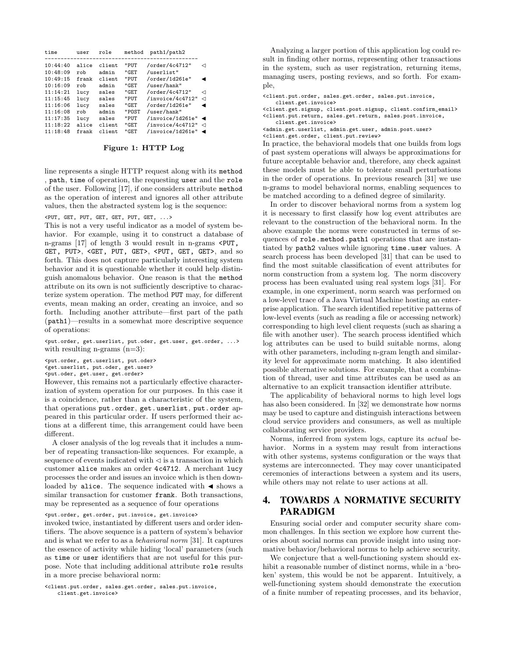| time     | user  | role   | method | path1/path2      |   |
|----------|-------|--------|--------|------------------|---|
|          |       |        |        |                  |   |
| 10:44:40 | alice | client | "PUT   | /order/4c4712"   | ⊲ |
| 10:48:09 | rob   | admin  | "GET   | /userlist"       |   |
| 10:49:15 | frank | client | "PUT   | /order/1d261e"   |   |
| 10:16:09 | rob   | admin  | "GET   | /user/hank"      |   |
| 11:14:21 | lucy  | sales  | "GET   | /order/4c4712"   | ⊲ |
| 11:15:45 | lucy  | sales  | "PUT   | /invoice/4c4712" | ⊲ |
| 11:16:06 | lucy  | sales  | "GET   | /order/1d261e"   |   |
| 11:16:08 | rob   | admin  | "POST  | /user/hank"      |   |
| 11:17:35 | lucy  | sales  | "PUT   | /invoice/1d261e" |   |
| 11:18:22 | alice | client | "GET   | /invoice/4c4712" | ⊲ |
| 11:18:48 | frank | client | "GET   | /invoice/1d261e" |   |
|          |       |        |        |                  |   |

#### Figure 1: HTTP Log

line represents a single HTTP request along with its method , path, time of operation, the requesting user and the role of the user. Following [17], if one considers attribute method as the operation of interest and ignores all other attribute values, then the abstracted system log is the sequence:

#### <PUT, GET, PUT, GET, GET, PUT, GET, ...>

This is not a very useful indicator as a model of system behavior. For example, using it to construct a database of n-grams [17] of length 3 would result in n-grams <PUT, GET, PUT>, <GET, PUT, GET>, <PUT, GET, GET>, and so forth. This does not capture particularly interesting system behavior and it is questionable whether it could help distinguish anomalous behavior. One reason is that the method attribute on its own is not sufficiently descriptive to characterize system operation. The method PUT may, for different events, mean making an order, creating an invoice, and so forth. Including another attribute—first part of the path (path1)—results in a somewhat more descriptive sequence of operations:

<put.order, get.userlist, put.oder, get.user, get.order, ...> with resulting n-grams  $(n=3)$ :

<put.order, get.userlist, put.oder> <get.userlist, put.oder, get.user>

<put.oder, get.user, get.order>

However, this remains not a particularly effective characterization of system operation for our purposes. In this case it is a coincidence, rather than a characteristic of the system, that operations put.order, get.userlist, put.order appeared in this particular order. If users performed their actions at a different time, this arrangement could have been different.

A closer analysis of the log reveals that it includes a number of repeating transaction-like sequences. For example, a sequence of events indicated with  $\leq$  is a transaction in which customer alice makes an order 4c4712. A merchant lucy processes the order and issues an invoice which is then downloaded by alice. The sequence indicated with  $\blacktriangleleft$  shows a similar transaction for customer frank. Both transactions, may be represented as a sequence of four operations

<put.order, get.order, put.invoice, get.invoice>

invoked twice, instantiated by different users and order identifiers. The above sequence is a pattern of system's behavior and is what we refer to as a behavioral norm [31]. It captures the essence of activity while hiding 'local' parameters (such as time or user identifiers that are not useful for this purpose. Note that including additional attribute role results in a more precise behavioral norm:

<client.put.order, sales.get.order, sales.put.invoice, client.get.invoice>

Analyzing a larger portion of this application log could result in finding other norms, representing other transactions in the system, such as user registration, returning items, managing users, posting reviews, and so forth. For example,

<client.put.order, sales.get.order, sales.put.invoice, client.get.invoice> <client.get.signup, client.post.signup, client.confirm\_email> <client.put.return, sales.get.return, sales.post.invoice,

client.get.invoice>

<admin.get.userlist, admin.get.user, admin.post.user> <client.get.order, client.put.review>

In practice, the behavioral models that one builds from logs of past system operations will always be approximations for future acceptable behavior and, therefore, any check against these models must be able to tolerate small perturbations in the order of operations. In previous research [31] we use n-grams to model behavioral norms, enabling sequences to be matched according to a defined degree of similarity.

In order to discover behavioral norms from a system log it is necessary to first classify how log event attributes are relevant to the construction of the behavioral norm. In the above example the norms were constructed in terms of sequences of role.method.path1 operations that are instantiated by path2 values while ignoring time.user values. A search process has been developed [31] that can be used to find the most suitable classification of event attributes for norm construction from a system log. The norm discovery process has been evaluated using real system logs [31]. For example, in one experiment, norm search was performed on a low-level trace of a Java Virtual Machine hosting an enterprise application. The search identified repetitive patterns of low-level events (such as reading a file or accessing network) corresponding to high level client requests (such as sharing a file with another user). The search process identified which log attributes can be used to build suitable norms, along with other parameters, including n-gram length and similarity level for approximate norm matching. It also identified possible alternative solutions. For example, that a combination of thread, user and time attributes can be used as an alternative to an explicit transaction identifier attribute.

The applicability of behavioral norms to high level logs has also been considered. In [32] we demonstrate how norms may be used to capture and distinguish interactions between cloud service providers and consumers, as well as multiple collaborating service providers.

Norms, inferred from system logs, capture its actual behavior. Norms in a system may result from interactions with other systems, systems configuration or the ways that systems are interconnected. They may cover unanticipated ceremonies of interactions between a system and its users, while others may not relate to user actions at all.

# 4. TOWARDS A NORMATIVE SECURITY PARADIGM

Ensuring social order and computer security share common challenges. In this section we explore how current theories about social norms can provide insight into using normative behavior/behavioral norms to help achieve security.

We conjecture that a well-functioning system should exhibit a reasonable number of distinct norms, while in a 'broken' system, this would be not be apparent. Intuitively, a well-functioning system should demonstrate the execution of a finite number of repeating processes, and its behavior,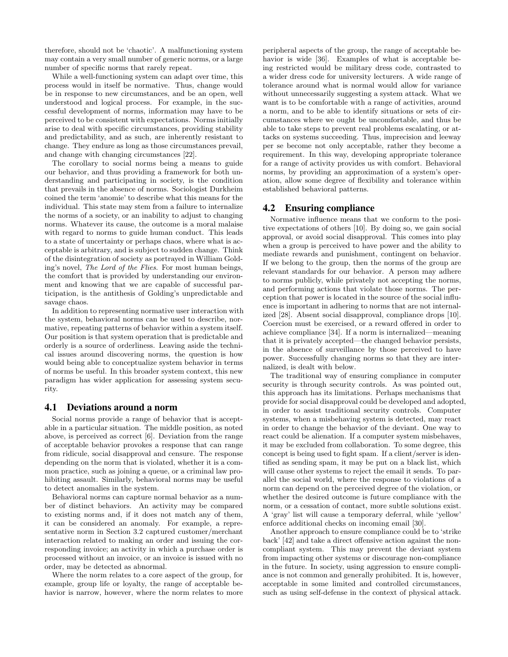therefore, should not be 'chaotic'. A malfunctioning system may contain a very small number of generic norms, or a large number of specific norms that rarely repeat.

While a well-functioning system can adapt over time, this process would in itself be normative. Thus, change would be in response to new circumstances, and be an open, well understood and logical process. For example, in the successful development of norms, information may have to be perceived to be consistent with expectations. Norms initially arise to deal with specific circumstances, providing stability and predictability, and as such, are inherently resistant to change. They endure as long as those circumstances prevail, and change with changing circumstances [22].

The corollary to social norms being a means to guide our behavior, and thus providing a framework for both understanding and participating in society, is the condition that prevails in the absence of norms. Sociologist Durkheim coined the term 'anomie' to describe what this means for the individual. This state may stem from a failure to internalize the norms of a society, or an inability to adjust to changing norms. Whatever its cause, the outcome is a moral malaise with regard to norms to guide human conduct. This leads to a state of uncertainty or perhaps chaos, where what is acceptable is arbitrary, and is subject to sudden change. Think of the disintegration of society as portrayed in William Golding's novel, The Lord of the Flies. For most human beings, the comfort that is provided by understanding our environment and knowing that we are capable of successful participation, is the antithesis of Golding's unpredictable and savage chaos.

In addition to representing normative user interaction with the system, behavioral norms can be used to describe, normative, repeating patterns of behavior within a system itself. Our position is that system operation that is predictable and orderly is a source of orderliness. Leaving aside the technical issues around discovering norms, the question is how would being able to conceptualize system behavior in terms of norms be useful. In this broader system context, this new paradigm has wider application for assessing system security.

#### 4.1 Deviations around a norm

Social norms provide a range of behavior that is acceptable in a particular situation. The middle position, as noted above, is perceived as correct [6]. Deviation from the range of acceptable behavior provokes a response that can range from ridicule, social disapproval and censure. The response depending on the norm that is violated, whether it is a common practice, such as joining a queue, or a criminal law prohibiting assault. Similarly, behavioral norms may be useful to detect anomalies in the system.

Behavioral norms can capture normal behavior as a number of distinct behaviors. An activity may be compared to existing norms and, if it does not match any of them, it can be considered an anomaly. For example, a representative norm in Section 3.2 captured customer/merchant interaction related to making an order and issuing the corresponding invoice; an activity in which a purchase order is processed without an invoice, or an invoice is issued with no order, may be detected as abnormal.

Where the norm relates to a core aspect of the group, for example, group life or loyalty, the range of acceptable behavior is narrow, however, where the norm relates to more

peripheral aspects of the group, the range of acceptable behavior is wide [36]. Examples of what is acceptable being restricted would be military dress code, contrasted to a wider dress code for university lecturers. A wide range of tolerance around what is normal would allow for variance without unnecessarily suggesting a system attack. What we want is to be comfortable with a range of activities, around a norm, and to be able to identify situations or sets of circumstances where we ought be uncomfortable, and thus be able to take steps to prevent real problems escalating, or attacks on systems succeeding. Thus, imprecision and leeway per se become not only acceptable, rather they become a requirement. In this way, developing appropriate tolerance for a range of activity provides us with comfort. Behavioral norms, by providing an approximation of a system's operation, allow some degree of flexibility and tolerance within established behavioral patterns.

# 4.2 Ensuring compliance

Normative influence means that we conform to the positive expectations of others [10]. By doing so, we gain social approval, or avoid social disapproval. This comes into play when a group is perceived to have power and the ability to mediate rewards and punishment, contingent on behavior. If we belong to the group, then the norms of the group are relevant standards for our behavior. A person may adhere to norms publicly, while privately not accepting the norms, and performing actions that violate those norms. The perception that power is located in the source of the social influence is important in adhering to norms that are not internalized [28]. Absent social disapproval, compliance drops [10]. Coercion must be exercised, or a reward offered in order to achieve compliance [34]. If a norm is internalized—meaning that it is privately accepted—the changed behavior persists, in the absence of surveillance by those perceived to have power. Successfully changing norms so that they are internalized, is dealt with below.

The traditional way of ensuring compliance in computer security is through security controls. As was pointed out, this approach has its limitations. Perhaps mechanisms that provide for social disapproval could be developed and adopted, in order to assist traditional security controls. Computer systems, when a misbehaving system is detected, may react in order to change the behavior of the deviant. One way to react could be alienation. If a computer system misbehaves, it may be excluded from collaboration. To some degree, this concept is being used to fight spam. If a client/server is identified as sending spam, it may be put on a black list, which will cause other systems to reject the email it sends. To parallel the social world, where the response to violations of a norm can depend on the perceived degree of the violation, or whether the desired outcome is future compliance with the norm, or a cessation of contact, more subtle solutions exist. A 'gray' list will cause a temporary deferral, while 'yellow' enforce additional checks on incoming email [30].

Another approach to ensure compliance could be to 'strike back' [42] and take a direct offensive action against the noncompliant system. This may prevent the deviant system from impacting other systems or discourage non-compliance in the future. In society, using aggression to ensure compliance is not common and generally prohibited. It is, however, acceptable in some limited and controlled circumstances, such as using self-defense in the context of physical attack.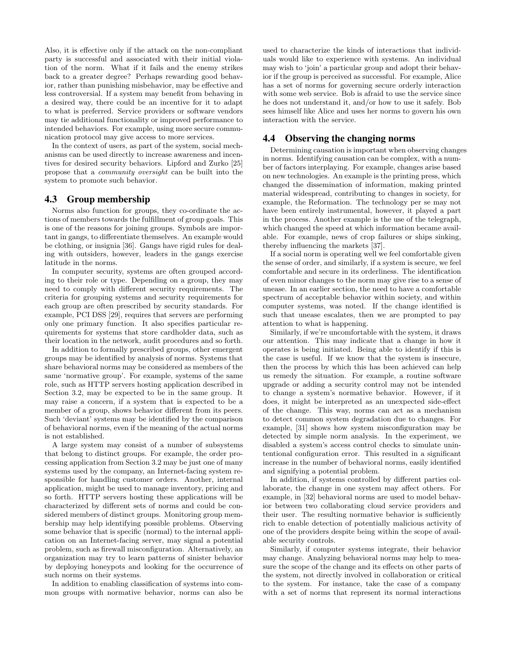Also, it is effective only if the attack on the non-compliant party is successful and associated with their initial violation of the norm. What if it fails and the enemy strikes back to a greater degree? Perhaps rewarding good behavior, rather than punishing misbehavior, may be effective and less controversial. If a system may benefit from behaving in a desired way, there could be an incentive for it to adapt to what is preferred. Service providers or software vendors may tie additional functionality or improved performance to intended behaviors. For example, using more secure communication protocol may give access to more services.

In the context of users, as part of the system, social mechanisms can be used directly to increase awareness and incentives for desired security behaviors. Lipford and Zurko [25] propose that a community oversight can be built into the system to promote such behavior.

# 4.3 Group membership

Norms also function for groups, they co-ordinate the actions of members towards the fulfillment of group goals. This is one of the reasons for joining groups. Symbols are important in gangs, to differentiate themselves. An example would be clothing, or insignia [36]. Gangs have rigid rules for dealing with outsiders, however, leaders in the gangs exercise latitude in the norms.

In computer security, systems are often grouped according to their role or type. Depending on a group, they may need to comply with different security requirements. The criteria for grouping systems and security requirements for each group are often prescribed by security standards. For example, PCI DSS [29], requires that servers are performing only one primary function. It also specifies particular requirements for systems that store cardholder data, such as their location in the network, audit procedures and so forth.

In addition to formally prescribed groups, other emergent groups may be identified by analysis of norms. Systems that share behavioral norms may be considered as members of the same 'normative group'. For example, systems of the same role, such as HTTP servers hosting application described in Section 3.2, may be expected to be in the same group. It may raise a concern, if a system that is expected to be a member of a group, shows behavior different from its peers. Such 'deviant' systems may be identified by the comparison of behavioral norms, even if the meaning of the actual norms is not established.

A large system may consist of a number of subsystems that belong to distinct groups. For example, the order processing application from Section 3.2 may be just one of many systems used by the company, an Internet-facing system responsible for handling customer orders. Another, internal application, might be used to manage inventory, pricing and so forth. HTTP servers hosting these applications will be characterized by different sets of norms and could be considered members of distinct groups. Monitoring group membership may help identifying possible problems. Observing some behavior that is specific (normal) to the internal application on an Internet-facing server, may signal a potential problem, such as firewall misconfiguration. Alternatively, an organization may try to learn patterns of sinister behavior by deploying honeypots and looking for the occurrence of such norms on their systems.

In addition to enabling classification of systems into common groups with normative behavior, norms can also be used to characterize the kinds of interactions that individuals would like to experience with systems. An individual may wish to 'join' a particular group and adopt their behavior if the group is perceived as successful. For example, Alice has a set of norms for governing secure orderly interaction with some web service. Bob is afraid to use the service since he does not understand it, and/or how to use it safely. Bob sees himself like Alice and uses her norms to govern his own interaction with the service.

# 4.4 Observing the changing norms

Determining causation is important when observing changes in norms. Identifying causation can be complex, with a number of factors interplaying. For example, changes arise based on new technologies. An example is the printing press, which changed the dissemination of information, making printed material widespread, contributing to changes in society, for example, the Reformation. The technology per se may not have been entirely instrumental, however, it played a part in the process. Another example is the use of the telegraph, which changed the speed at which information became available. For example, news of crop failures or ships sinking, thereby influencing the markets [37].

If a social norm is operating well we feel comfortable given the sense of order, and similarly, if a system is secure, we feel comfortable and secure in its orderliness. The identification of even minor changes to the norm may give rise to a sense of unease. In an earlier section, the need to have a comfortable spectrum of acceptable behavior within society, and within computer systems, was noted. If the change identified is such that unease escalates, then we are prompted to pay attention to what is happening.

Similarly, if we're uncomfortable with the system, it draws our attention. This may indicate that a change in how it operates is being initiated. Being able to identify if this is the case is useful. If we know that the system is insecure, then the process by which this has been achieved can help us remedy the situation. For example, a routine software upgrade or adding a security control may not be intended to change a system's normative behavior. However, if it does, it might be interpreted as an unexpected side-effect of the change. This way, norms can act as a mechanism to detect common system degradation due to changes. For example, [31] shows how system misconfiguration may be detected by simple norm analysis. In the experiment, we disabled a system's access control checks to simulate unintentional configuration error. This resulted in a significant increase in the number of behavioral norms, easily identified and signifying a potential problem.

In addition, if systems controlled by different parties collaborate, the change in one system may affect others. For example, in [32] behavioral norms are used to model behavior between two collaborating cloud service providers and their user. The resulting normative behavior is sufficiently rich to enable detection of potentially malicious activity of one of the providers despite being within the scope of available security controls.

Similarly, if computer systems integrate, their behavior may change. Analyzing behavioral norms may help to measure the scope of the change and its effects on other parts of the system, not directly involved in collaboration or critical to the system. For instance, take the case of a company with a set of norms that represent its normal interactions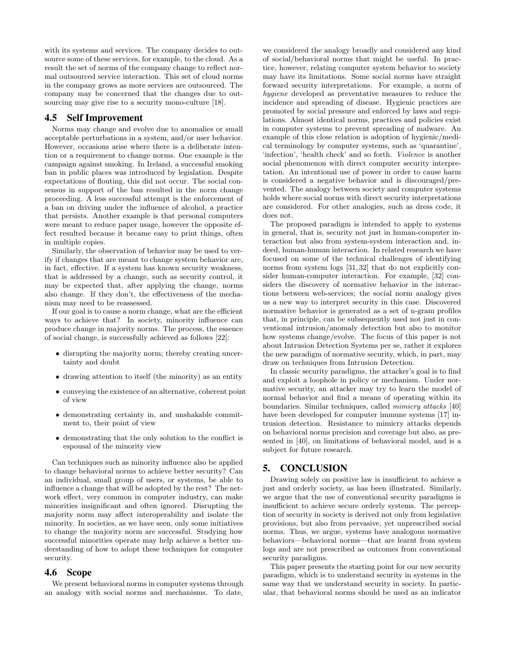with its systems and services. The company decides to outsource some of these services, for example, to the cloud. As a result the set of norms of the company change to reflect normal outsourced service interaction. This set of cloud norms in the company grows as more services are outsourced. The company may be concerned that the changes due to outsourcing may give rise to a security mono-culture [18].

# 4.5 Self Improvement

Norms may change and evolve due to anomalies or small acceptable perturbations in a system, and/or user behavior. However, occasions arise where there is a deliberate intention or a requirement to change norms. One example is the campaign against smoking. In Ireland, a successful smoking ban in public places was introduced by legislation. Despite expectations of flouting, this did not occur. The social consensus in support of the ban resulted in the norm change proceeding. A less successful attempt is the enforcement of a ban on driving under the influence of alcohol, a practice that persists. Another example is that personal computers were meant to reduce paper usage, however the opposite effect resulted because it became easy to print things, often in multiple copies.

Similarly, the observation of behavior may be used to verify if changes that are meant to change system behavior are, in fact, effective. If a system has known security weakness, that is addressed by a change, such as security control, it may be expected that, after applying the change, norms also change. If they don't, the effectiveness of the mechanism may need to be reassessed.

If our goal is to cause a norm change, what are the efficient ways to achieve that? In society, minority influence can produce change in majority norms. The process, the essence of social change, is successfully achieved as follows [22]:

- disrupting the majority norm; thereby creating uncertainty and doubt
- drawing attention to itself (the minority) as an entity
- conveying the existence of an alternative, coherent point of view
- demonstrating certainty in, and unshakable commitment to, their point of view
- demonstrating that the only solution to the conflict is espousal of the minority view

Can techniques such as minority influence also be applied to change behavioral norms to achieve better security? Can an individual, small group of users, or systems, be able to influence a change that will be adopted by the rest? The network effect, very common in computer industry, can make minorities insignificant and often ignored. Disrupting the majority norm may affect interoperability and isolate the minority. In societies, as we have seen, only some initiatives to change the majority norm are successful. Studying how successful minorities operate may help achieve a better understanding of how to adopt these techniques for computer security.

# 4.6 Scope

We present behavioral norms in computer systems through an analogy with social norms and mechanisms. To date,

we considered the analogy broadly and considered any kind of social/behavioral norms that might be useful. In practice, however, relating computer system behavior to society may have its limitations. Some social norms have straight forward security interpretations. For example, a norm of hygiene developed as preventative measures to reduce the incidence and spreading of disease. Hygienic practices are promoted by social pressure and enforced by laws and regulations. Almost identical norms, practices and policies exist in computer systems to prevent spreading of malware. An example of this close relation is adoption of hygienic/medical terminology by computer systems, such as 'quarantine', 'infection', 'health check' and so forth. Violence is another social phenomenon with direct computer security interpretation. An intentional use of power in order to cause harm is considered a negative behavior and is discouraged/prevented. The analogy between society and computer systems holds where social norms with direct security interpretations are considered. For other analogies, such as dress code, it does not.

The proposed paradigm is intended to apply to systems in general, that is, security not just in human-computer interaction but also from system-system interaction and, indeed, human-human interaction. In related research we have focused on some of the technical challenges of identifying norms from system logs [31, 32] that do not explicitly consider human-computer interaction. For example, [32] considers the discovery of normative behavior in the interactions between web-services; the social norm analogy gives us a new way to interpret security in this case. Discovered normative behavior is generated as a set of n-gram profiles that, in principle, can be subsequently used not just in conventional intrusion/anomaly detection but also to monitor how systems change/evolve. The focus of this paper is not about Intrusion Detection Systems per se, rather it explores the new paradigm of normative security, which, in part, may draw on techniques from Intrusion Detection.

In classic security paradigms, the attacker's goal is to find and exploit a loophole in policy or mechanism. Under normative security, an attacker may try to learn the model of normal behavior and find a means of operating within its boundaries. Similar techniques, called mimicry attacks [40] have been developed for computer immune systems [17] intrusion detection. Resistance to mimicry attacks depends on behavioral norms precision and coverage but also, as presented in [40], on limitations of behavioral model, and is a subject for future research.

# 5. CONCLUSION

Drawing solely on positive law is insufficient to achieve a just and orderly society, as has been illustrated. Similarly, we argue that the use of conventional security paradigms is insufficient to achieve secure orderly systems. The perception of security in society is derived not only from legislative provisions, but also from pervasive, yet unprescribed social norms. Thus, we argue, systems have analogous normative behaviors—behavioral norms—that are learnt from system logs and are not prescribed as outcomes from conventional security paradigms.

This paper presents the starting point for our new security paradigm, which is to understand security in systems in the same way that we understand security in society. In particular, that behavioral norms should be used as an indicator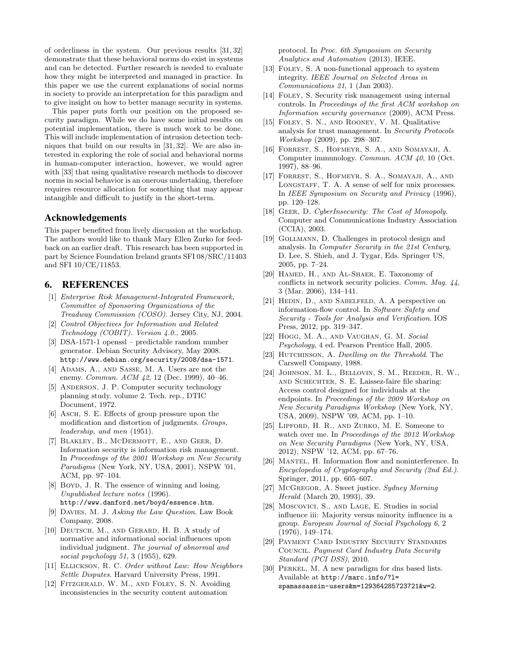of orderliness in the system. Our previous results [31, 32] demonstrate that these behavioral norms do exist in systems and can be detected. Further research is needed to evaluate how they might be interpreted and managed in practice. In this paper we use the current explanations of social norms in society to provide an interpretation for this paradigm and to give insight on how to better manage security in systems.

This paper puts forth our position on the proposed security paradigm. While we do have some initial results on potential implementation, there is much work to be done. This will include implementation of intrusion detection techniques that build on our results in [31, 32]. We are also interested in exploring the role of social and behavioral norms in human-computer interaction, however, we would agree with [33] that using qualitative research methods to discover norms in social behavior is an onerous undertaking, therefore requires resource allocation for something that may appear intangible and difficult to justify in the short-term.

# Acknowledgements

This paper benefited from lively discussion at the workshop. The authors would like to thank Mary Ellen Zurko for feedback on an earlier draft. This research has been supported in part by Science Foundation Ireland grants SFI 08/SRC/11403 and SFI 10/CE/11853.

# 6. REFERENCES

- [1] Enterprise Risk Management-Integrated Framework, Committee of Sponsoring Organizations of the Treadway Commission (COSO). Jersey City, NJ, 2004.
- [2] Control Objectives for Information and Related Technology (COBIT). Version 4.0., 2005.
- [3] DSA-1571-1 openssl predictable random number generator. Debian Security Advisory, May 2008. http://www.debian.org/security/2008/dsa-1571.
- [4] ADAMS, A., AND SASSE, M. A. Users are not the enemy. Commun. ACM 42, 12 (Dec. 1999), 40–46.
- [5] ANDERSON, J. P. Computer security technology planning study. volume 2. Tech. rep., DTIC Document, 1972.
- [6] Asch, S. E. Effects of group pressure upon the modification and distortion of judgments. Groups, leadership, and men (1951).
- [7] Blakley, B., McDermott, E., and Geer, D. Information security is information risk management. In Proceedings of the 2001 Workshop on New Security Paradigms (New York, NY, USA, 2001), NSPW '01, ACM, pp. 97–104.
- [8] BOYD, J. R. The essence of winning and losing. Unpublished lecture notes (1996). http://www.danford.net/boyd/essence.htm.
- [9] DAVIES, M. J. Asking the Law Question. Law Book Company, 2008.
- [10] DEUTSCH, M., AND GERARD, H. B. A study of normative and informational social influences upon individual judgment. The journal of abnormal and social psychology 51, 3 (1955), 629.
- [11] ELLICKSON, R. C. Order without Law: How Neighbors Settle Disputes. Harvard University Press, 1991.
- [12] Fitzgerald, W. M., and Foley, S. N. Avoiding inconsistencies in the security content automation

protocol. In Proc. 6th Symposium on Security Analytics and Automation (2013), IEEE.

- [13] FOLEY, S. A non-functional approach to system integrity. IEEE Journal on Selected Areas in Communications 21, 1 (Jan 2003).
- [14] Foley, S. Security risk management using internal controls. In Proceedings of the first ACM workshop on Information security governance (2009), ACM Press.
- [15] Foley, S. N., and Rooney, V. M. Qualitative analysis for trust management. In Security Protocols Workshop (2009), pp. 298–307.
- [16] Forrest, S., Hofmeyr, S. A., and Somayaji, A. Computer immunology. Commun. ACM 40, 10 (Oct. 1997), 88–96.
- [17] Forrest, S., Hofmeyr, S. A., Somayaji, A., and LONGSTAFF, T. A. A sense of self for unix processes. In IEEE Symposium on Security and Privacy (1996), pp. 120–128.
- [18] GEER, D. CyberInsecurity: The Cost of Monopoly. Computer and Communications Industry Association (CCIA), 2003.
- [19] GOLLMANN, D. Challenges in protocol design and analysis. In Computer Security in the 21st Century, D. Lee, S. Shieh, and J. Tygar, Eds. Springer US, 2005, pp. 7–24.
- [20] Hamed, H., and Al-Shaer, E. Taxonomy of conflicts in network security policies. Comm. Mag. 44, 3 (Mar. 2006), 134–141.
- [21] HEDIN, D., AND SABELFELD, A. A perspective on information-flow control. In Software Safety and Security - Tools for Analysis and Verification. IOS Press, 2012, pp. 319–347.
- [22] Hogg, M. A., and Vaughan, G. M. Social Psychology, 4 ed. Pearson Prentice Hall, 2005.
- [23] HUTCHINSON, A. Dwelling on the Threshold. The Carswell Company, 1988.
- [24] Johnson, M. L., Bellovin, S. M., Reeder, R. W., and Schechter, S. E. Laissez-faire file sharing: Access control designed for individuals at the endpoints. In Proceedings of the 2009 Workshop on New Security Paradigms Workshop (New York, NY, USA, 2009), NSPW '09, ACM, pp. 1–10.
- [25] Lipford, H. R., and Zurko, M. E. Someone to watch over me. In Proceedings of the 2012 Workshop on New Security Paradigms (New York, NY, USA, 2012), NSPW '12, ACM, pp. 67–76.
- [26] MANTEL, H. Information flow and noninterference. In Encyclopedia of Cryptography and Security (2nd Ed.). Springer, 2011, pp. 605–607.
- [27] McGregor, A. Sweet justice. Sydney Morning Herald (March 20, 1993), 39.
- [28] Moscovici, S., and Lage, E. Studies in social influence iii: Majority versus minority influence in a group. European Journal of Social Psychology 6, 2 (1976), 149–174.
- [29] Payment Card Industry Security Standards Council. Payment Card Industry Data Security Standard (PCI DSS), 2010.
- [30] Perkel, M. A new paradigm for dns based lists. Available at http://marc.info/?l= spamassassin-users&m=129364285723721&w=2.